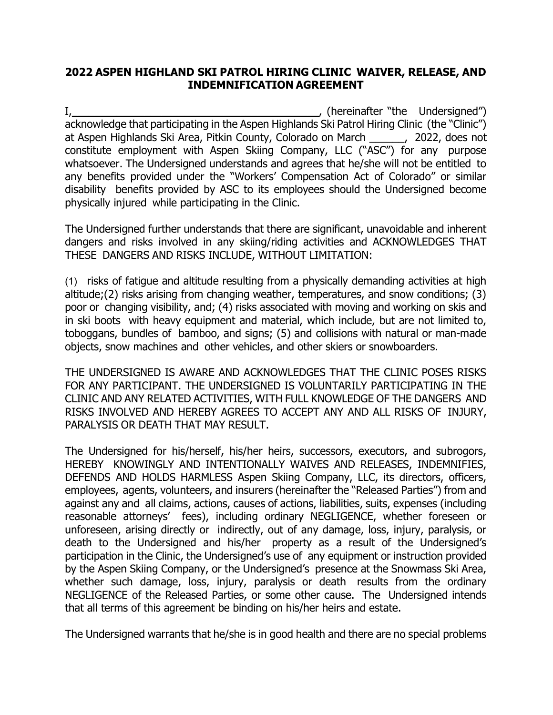## 2022 ASPEN HIGHLAND SKI PATROL HIRING CLINIC WAIVER, RELEASE, AND INDEMNIFICATION AGREEMENT

I, 1, 2008 and the Undersigned") and the Undersigned" and the Undersigned" and the Undersigned" and the Undersigned  $\sum_{i=1}^{n}$  (hereinafter "the Undersigned") acknowledge that participating in the Aspen Highlands Ski Patrol Hiring Clinic (the "Clinic") at Aspen Highlands Ski Area, Pitkin County, Colorado on March \_\_\_\_\_\_, 2022, does not constitute employment with Aspen Skiing Company, LLC ("ASC") for any purpose whatsoever. The Undersigned understands and agrees that he/she will not be entitled to any benefits provided under the "Workers' Compensation Act of Colorado" or similar disability benefits provided by ASC to its employees should the Undersigned become physically injured while participating in the Clinic.

The Undersigned further understands that there are significant, unavoidable and inherent dangers and risks involved in any skiing/riding activities and ACKNOWLEDGES THAT THESE DANGERS AND RISKS INCLUDE, WITHOUT LIMITATION:

(1) risks of fatigue and altitude resulting from a physically demanding activities at high altitude;(2) risks arising from changing weather, temperatures, and snow conditions; (3) poor or changing visibility, and; (4) risks associated with moving and working on skis and in ski boots with heavy equipment and material, which include, but are not limited to, toboggans, bundles of bamboo, and signs; (5) and collisions with natural or man-made objects, snow machines and other vehicles, and other skiers or snowboarders.

THE UNDERSIGNED IS AWARE AND ACKNOWLEDGES THAT THE CLINIC POSES RISKS FOR ANY PARTICIPANT. THE UNDERSIGNED IS VOLUNTARILY PARTICIPATING IN THE CLINIC AND ANY RELATED ACTIVITIES, WITH FULL KNOWLEDGE OF THE DANGERS AND RISKS INVOLVED AND HEREBY AGREES TO ACCEPT ANY AND ALL RISKS OF INJURY, PARALYSIS OR DEATH THAT MAY RESULT.

The Undersigned for his/herself, his/her heirs, successors, executors, and subrogors, HEREBY KNOWINGLY AND INTENTIONALLY WAIVES AND RELEASES, INDEMNIFIES, DEFENDS AND HOLDS HARMLESS Aspen Skiing Company, LLC, its directors, officers, employees, agents, volunteers, and insurers (hereinafter the "Released Parties") from and against any and all claims, actions, causes of actions, liabilities, suits, expenses (including reasonable attorneys' fees), including ordinary NEGLIGENCE, whether foreseen or unforeseen, arising directly or indirectly, out of any damage, loss, injury, paralysis, or death to the Undersigned and his/her property as a result of the Undersigned's participation in the Clinic, the Undersigned's use of any equipment or instruction provided by the Aspen Skiing Company, or the Undersigned's presence at the Snowmass Ski Area, whether such damage, loss, injury, paralysis or death results from the ordinary NEGLIGENCE of the Released Parties, or some other cause. The Undersigned intends that all terms of this agreement be binding on his/her heirs and estate.

The Undersigned warrants that he/she is in good health and there are no special problems